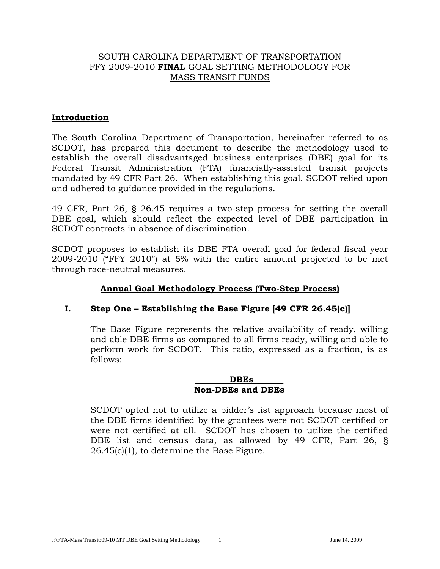## SOUTH CAROLINA DEPARTMENT OF TRANSPORTATION FFY 2009-2010 **FINAL** GOAL SETTING METHODOLOGY FOR MASS TRANSIT FUNDS

## **Introduction**

The South Carolina Department of Transportation, hereinafter referred to as SCDOT, has prepared this document to describe the methodology used to establish the overall disadvantaged business enterprises (DBE) goal for its Federal Transit Administration (FTA) financially-assisted transit projects mandated by 49 CFR Part 26. When establishing this goal, SCDOT relied upon and adhered to guidance provided in the regulations.

49 CFR, Part 26, § 26.45 requires a two-step process for setting the overall DBE goal, which should reflect the expected level of DBE participation in SCDOT contracts in absence of discrimination.

SCDOT proposes to establish its DBE FTA overall goal for federal fiscal year 2009-2010 ("FFY 2010") at 5% with the entire amount projected to be met through race-neutral measures.

# **Annual Goal Methodology Process (Two-Step Process)**

## **I. Step One – Establishing the Base Figure [49 CFR 26.45(c)]**

The Base Figure represents the relative availability of ready, willing and able DBE firms as compared to all firms ready, willing and able to perform work for SCDOT. This ratio, expressed as a fraction, is as follows:

#### **\_\_\_\_\_\_\_\_DBEs\_\_\_\_\_\_\_ Non-DBEs and DBEs**

SCDOT opted not to utilize a bidder's list approach because most of the DBE firms identified by the grantees were not SCDOT certified or were not certified at all. SCDOT has chosen to utilize the certified DBE list and census data, as allowed by 49 CFR, Part 26, § 26.45(c)(1), to determine the Base Figure.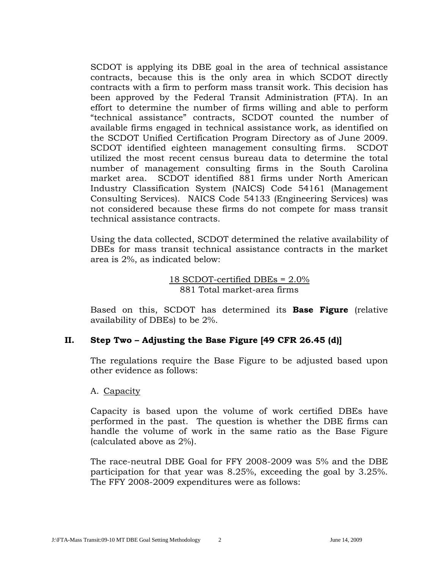SCDOT is applying its DBE goal in the area of technical assistance contracts, because this is the only area in which SCDOT directly contracts with a firm to perform mass transit work. This decision has been approved by the Federal Transit Administration (FTA). In an effort to determine the number of firms willing and able to perform "technical assistance" contracts, SCDOT counted the number of available firms engaged in technical assistance work, as identified on the SCDOT Unified Certification Program Directory as of June 2009. SCDOT identified eighteen management consulting firms. SCDOT utilized the most recent census bureau data to determine the total number of management consulting firms in the South Carolina market area. SCDOT identified 881 firms under North American Industry Classification System (NAICS) Code 54161 (Management Consulting Services). NAICS Code 54133 (Engineering Services) was not considered because these firms do not compete for mass transit technical assistance contracts.

Using the data collected, SCDOT determined the relative availability of DBEs for mass transit technical assistance contracts in the market area is 2%, as indicated below:

## 18 SCDOT-certified DBEs = 2.0% 881 Total market-area firms

Based on this, SCDOT has determined its **Base Figure** (relative availability of DBEs) to be 2%.

## **II. Step Two – Adjusting the Base Figure [49 CFR 26.45 (d)]**

The regulations require the Base Figure to be adjusted based upon other evidence as follows:

## A. Capacity

Capacity is based upon the volume of work certified DBEs have performed in the past. The question is whether the DBE firms can handle the volume of work in the same ratio as the Base Figure (calculated above as 2%).

The race-neutral DBE Goal for FFY 2008-2009 was 5% and the DBE participation for that year was 8.25%, exceeding the goal by 3.25%. The FFY 2008-2009 expenditures were as follows: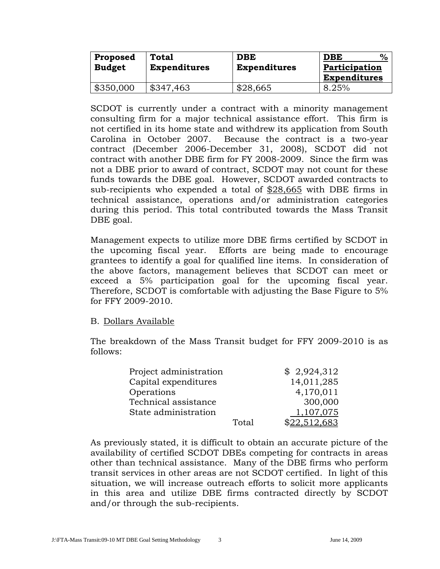| <b>Proposed</b> | <b>Total</b>        | <b>DBE</b>          | $\%$<br><b>DBE</b>  |
|-----------------|---------------------|---------------------|---------------------|
| <b>Budget</b>   | <b>Expenditures</b> | <b>Expenditures</b> | Participation       |
|                 |                     |                     | <b>Expenditures</b> |
| \$350,000       | \$347,463           | \$28,665            | 8.25%               |

SCDOT is currently under a contract with a minority management consulting firm for a major technical assistance effort. This firm is not certified in its home state and withdrew its application from South Carolina in October 2007. Because the contract is a two-year contract (December 2006-December 31, 2008), SCDOT did not contract with another DBE firm for FY 2008-2009. Since the firm was not a DBE prior to award of contract, SCDOT may not count for these funds towards the DBE goal. However, SCDOT awarded contracts to sub-recipients who expended a total of \$28,665 with DBE firms in technical assistance, operations and/or administration categories during this period. This total contributed towards the Mass Transit DBE goal.

Management expects to utilize more DBE firms certified by SCDOT in the upcoming fiscal year. Efforts are being made to encourage grantees to identify a goal for qualified line items. In consideration of the above factors, management believes that SCDOT can meet or exceed a 5% participation goal for the upcoming fiscal year. Therefore, SCDOT is comfortable with adjusting the Base Figure to 5% for FFY 2009-2010.

## B. Dollars Available

The breakdown of the Mass Transit budget for FFY 2009-2010 is as follows:

| Project administration |            | \$2,924,312  |
|------------------------|------------|--------------|
| Capital expenditures   | 14,011,285 |              |
| Operations             |            | 4,170,011    |
| Technical assistance   | 300,000    |              |
| State administration   |            | 1,107,075    |
|                        | Total      | \$22,512,683 |

As previously stated, it is difficult to obtain an accurate picture of the availability of certified SCDOT DBEs competing for contracts in areas other than technical assistance. Many of the DBE firms who perform transit services in other areas are not SCDOT certified. In light of this situation, we will increase outreach efforts to solicit more applicants in this area and utilize DBE firms contracted directly by SCDOT and/or through the sub-recipients.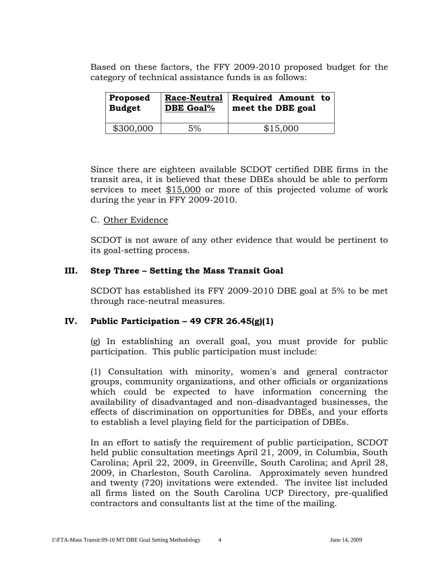Based on these factors, the FFY 2009-2010 proposed budget for the category of technical assistance funds is as follows:

| Proposed      | Race-Neutral     | <b>Required Amount to</b> |
|---------------|------------------|---------------------------|
| <b>Budget</b> | <b>DBE Goal%</b> | meet the DBE goal         |
| \$300,000     | 5%               | \$15,000                  |

Since there are eighteen available SCDOT certified DBE firms in the transit area, it is believed that these DBEs should be able to perform services to meet \$15,000 or more of this projected volume of work during the year in FFY 2009-2010.

## C. Other Evidence

SCDOT is not aware of any other evidence that would be pertinent to its goal-setting process.

# **III. Step Three – Setting the Mass Transit Goal**

SCDOT has established its FFY 2009-2010 DBE goal at 5% to be met through race-neutral measures.

## IV. Public Participation  $-49$  CFR  $26.45(g)(1)$

(g) In establishing an overall goal, you must provide for public participation. This public participation must include:

(1) Consultation with minority, women's and general contractor groups, community organizations, and other officials or organizations which could be expected to have information concerning the availability of disadvantaged and non-disadvantaged businesses, the effects of discrimination on opportunities for DBEs, and your efforts to establish a level playing field for the participation of DBEs.

In an effort to satisfy the requirement of public participation, SCDOT held public consultation meetings April 21, 2009, in Columbia, South Carolina; April 22, 2009, in Greenville, South Carolina; and April 28, 2009, in Charleston, South Carolina. Approximately seven hundred and twenty (720) invitations were extended. The invitee list included all firms listed on the South Carolina UCP Directory, pre-qualified contractors and consultants list at the time of the mailing.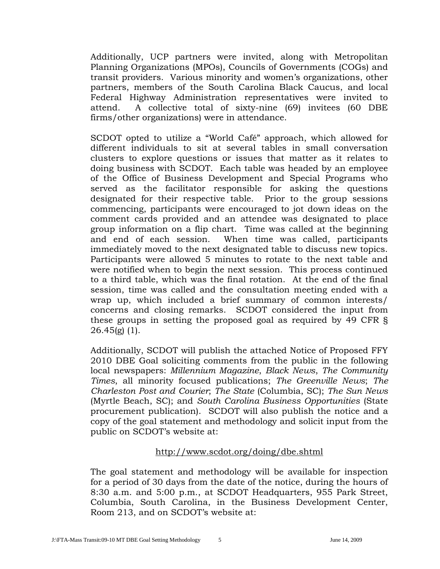Additionally, UCP partners were invited, along with Metropolitan Planning Organizations (MPOs), Councils of Governments (COGs) and transit providers. Various minority and women's organizations, other partners, members of the South Carolina Black Caucus, and local Federal Highway Administration representatives were invited to attend. A collective total of sixty-nine (69) invitees (60 DBE firms/other organizations) were in attendance.

SCDOT opted to utilize a "World Café" approach, which allowed for different individuals to sit at several tables in small conversation clusters to explore questions or issues that matter as it relates to doing business with SCDOT. Each table was headed by an employee of the Office of Business Development and Special Programs who served as the facilitator responsible for asking the questions designated for their respective table. Prior to the group sessions commencing, participants were encouraged to jot down ideas on the comment cards provided and an attendee was designated to place group information on a flip chart. Time was called at the beginning and end of each session. When time was called, participants immediately moved to the next designated table to discuss new topics. Participants were allowed 5 minutes to rotate to the next table and were notified when to begin the next session. This process continued to a third table, which was the final rotation. At the end of the final session, time was called and the consultation meeting ended with a wrap up, which included a brief summary of common interests/ concerns and closing remarks. SCDOT considered the input from these groups in setting the proposed goal as required by 49 CFR §  $26.45(g)(1)$ .

Additionally, SCDOT will publish the attached Notice of Proposed FFY 2010 DBE Goal soliciting comments from the public in the following local newspapers: *Millennium Magazine*, *Black News*, *The Community Times*, all minority focused publications; *The Greenville News*; *The Charleston Post and Courier*; *The State* (Columbia, SC); *The Sun News* (Myrtle Beach, SC); and *South Carolina Business Opportunities* (State procurement publication). SCDOT will also publish the notice and a copy of the goal statement and methodology and solicit input from the public on SCDOT's website at:

## <http://www.scdot.org/doing/dbe.shtml>

The goal statement and methodology will be available for inspection for a period of 30 days from the date of the notice, during the hours of 8:30 a.m. and 5:00 p.m., at SCDOT Headquarters, 955 Park Street, Columbia, South Carolina, in the Business Development Center, Room 213, and on SCDOT's website at: